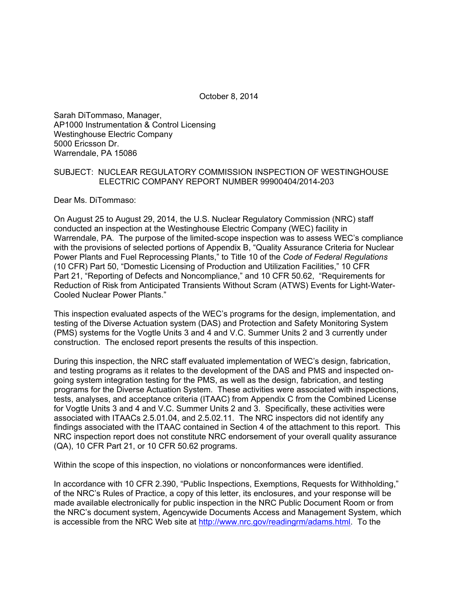October 8, 2014

Sarah DiTommaso, Manager, AP1000 Instrumentation & Control Licensing Westinghouse Electric Company 5000 Ericsson Dr. Warrendale, PA 15086

#### SUBJECT: NUCLEAR REGULATORY COMMISSION INSPECTION OF WESTINGHOUSE ELECTRIC COMPANY REPORT NUMBER 99900404/2014-203

Dear Ms. DiTommaso:

On August 25 to August 29, 2014, the U.S. Nuclear Regulatory Commission (NRC) staff conducted an inspection at the Westinghouse Electric Company (WEC) facility in Warrendale, PA. The purpose of the limited-scope inspection was to assess WEC's compliance with the provisions of selected portions of Appendix B, "Quality Assurance Criteria for Nuclear Power Plants and Fuel Reprocessing Plants," to Title 10 of the *Code of Federal Regulations* (10 CFR) Part 50, "Domestic Licensing of Production and Utilization Facilities," 10 CFR Part 21, "Reporting of Defects and Noncompliance," and 10 CFR 50.62, "Requirements for Reduction of Risk from Anticipated Transients Without Scram (ATWS) Events for Light-Water-Cooled Nuclear Power Plants."

This inspection evaluated aspects of the WEC's programs for the design, implementation, and testing of the Diverse Actuation system (DAS) and Protection and Safety Monitoring System (PMS) systems for the Vogtle Units 3 and 4 and V.C. Summer Units 2 and 3 currently under construction. The enclosed report presents the results of this inspection.

During this inspection, the NRC staff evaluated implementation of WEC's design, fabrication, and testing programs as it relates to the development of the DAS and PMS and inspected ongoing system integration testing for the PMS, as well as the design, fabrication, and testing programs for the Diverse Actuation System. These activities were associated with inspections, tests, analyses, and acceptance criteria (ITAAC) from Appendix C from the Combined License for Vogtle Units 3 and 4 and V.C. Summer Units 2 and 3. Specifically, these activities were associated with ITAACs 2.5.01.04, and 2.5.02.11. The NRC inspectors did not identify any findings associated with the ITAAC contained in Section 4 of the attachment to this report. This NRC inspection report does not constitute NRC endorsement of your overall quality assurance (QA), 10 CFR Part 21, or 10 CFR 50.62 programs.

Within the scope of this inspection, no violations or nonconformances were identified.

In accordance with 10 CFR 2.390, "Public Inspections, Exemptions, Requests for Withholding," of the NRC's Rules of Practice, a copy of this letter, its enclosures, and your response will be made available electronically for public inspection in the NRC Public Document Room or from the NRC's document system, Agencywide Documents Access and Management System, which is accessible from the NRC Web site at http://www.nrc.gov/readingrm/adams.html. To the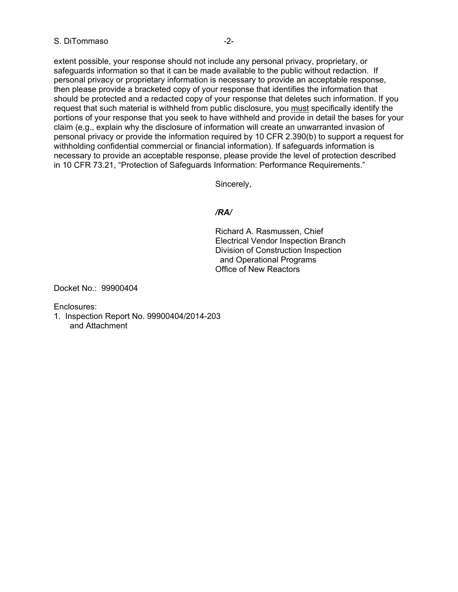#### S. DiTommaso -2-

extent possible, your response should not include any personal privacy, proprietary, or safeguards information so that it can be made available to the public without redaction. If personal privacy or proprietary information is necessary to provide an acceptable response, then please provide a bracketed copy of your response that identifies the information that should be protected and a redacted copy of your response that deletes such information. If you request that such material is withheld from public disclosure, you must specifically identify the portions of your response that you seek to have withheld and provide in detail the bases for your claim (e.g., explain why the disclosure of information will create an unwarranted invasion of personal privacy or provide the information required by 10 CFR 2.390(b) to support a request for withholding confidential commercial or financial information). If safeguards information is necessary to provide an acceptable response, please provide the level of protection described in 10 CFR 73.21, "Protection of Safeguards Information: Performance Requirements."

Sincerely,

## */RA/*

Richard A. Rasmussen, Chief Electrical Vendor Inspection Branch Division of Construction Inspection and Operational Programs Office of New Reactors

Docket No.: 99900404

Enclosures:

1. Inspection Report No. 99900404/2014-203 and Attachment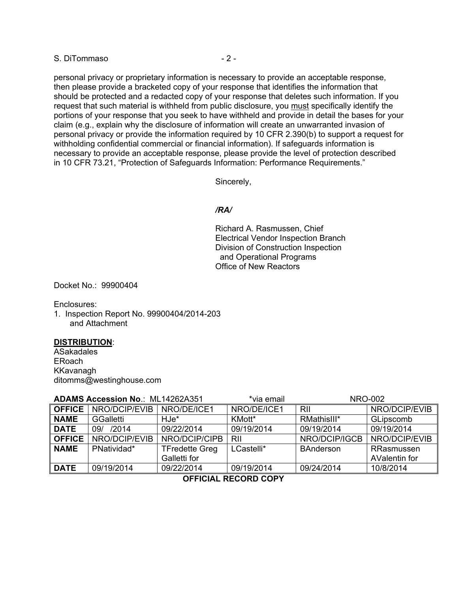S. DiTommaso  $-2$  -

personal privacy or proprietary information is necessary to provide an acceptable response, then please provide a bracketed copy of your response that identifies the information that should be protected and a redacted copy of your response that deletes such information. If you request that such material is withheld from public disclosure, you must specifically identify the portions of your response that you seek to have withheld and provide in detail the bases for your claim (e.g., explain why the disclosure of information will create an unwarranted invasion of personal privacy or provide the information required by 10 CFR 2.390(b) to support a request for withholding confidential commercial or financial information). If safeguards information is necessary to provide an acceptable response, please provide the level of protection described in 10 CFR 73.21, "Protection of Safeguards Information: Performance Requirements."

Sincerely,

## */RA/*

Richard A. Rasmussen, Chief Electrical Vendor Inspection Branch Division of Construction Inspection and Operational Programs Office of New Reactors

Docket No.: 99900404

Enclosures:

1. Inspection Report No. 99900404/2014-203 and Attachment

#### **DISTRIBUTION**:

ASakadales ERoach KKavanagh ditomms@westinghouse.com

| <b>ADAMS Accession No.: ML14262A351</b> |                  | *via email            |             | <b>NRO-002</b>   |               |
|-----------------------------------------|------------------|-----------------------|-------------|------------------|---------------|
| <b>OFFICE</b>                           | NRO/DCIP/EVIB    | NRO/DE/ICE1           | NRO/DE/ICE1 | RII              | NRO/DCIP/EVIB |
| <b>NAME</b>                             | <b>GGalletti</b> | HJe*                  | KMott*      | RMathisIII*      | GLipscomb     |
| <b>DATE</b>                             | 09/ /2014        | 09/22/2014            | 09/19/2014  | 09/19/2014       | 09/19/2014    |
| <b>OFFICE</b>                           | NRO/DCIP/EVIB    | NRO/DCIP/CIPB         | RII         | NRO/DCIP/IGCB    | NRO/DCIP/EVIB |
| <b>NAME</b>                             | PNatividad*      | <b>TFredette Greg</b> | LCastelli*  | <b>BAnderson</b> | RRasmussen    |
|                                         |                  | Galletti for          |             |                  | AValentin for |
| <b>DATE</b>                             | 09/19/2014       | 09/22/2014            | 09/19/2014  | 09/24/2014       | 10/8/2014     |

 **OFFICIAL RECORD COPY**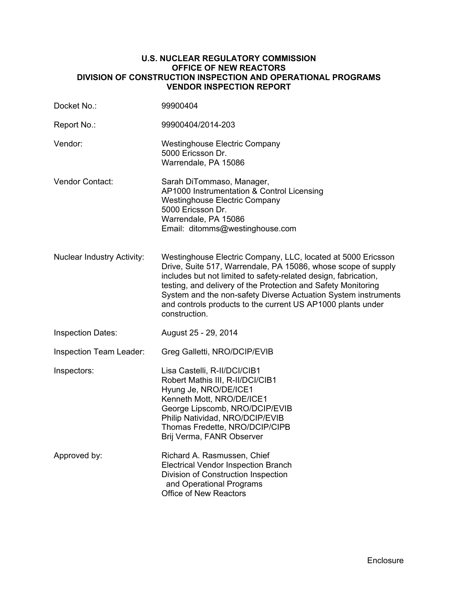#### **U.S. NUCLEAR REGULATORY COMMISSION OFFICE OF NEW REACTORS DIVISION OF CONSTRUCTION INSPECTION AND OPERATIONAL PROGRAMS VENDOR INSPECTION REPORT**

| Docket No.:                       | 99900404                                                                                                                                                                                                                                                                                                                                                                                                            |
|-----------------------------------|---------------------------------------------------------------------------------------------------------------------------------------------------------------------------------------------------------------------------------------------------------------------------------------------------------------------------------------------------------------------------------------------------------------------|
| Report No.:                       | 99900404/2014-203                                                                                                                                                                                                                                                                                                                                                                                                   |
| Vendor:                           | <b>Westinghouse Electric Company</b><br>5000 Ericsson Dr.<br>Warrendale, PA 15086                                                                                                                                                                                                                                                                                                                                   |
| Vendor Contact:                   | Sarah DiTommaso, Manager,<br>AP1000 Instrumentation & Control Licensing<br><b>Westinghouse Electric Company</b><br>5000 Ericsson Dr.<br>Warrendale, PA 15086<br>Email: ditomms@westinghouse.com                                                                                                                                                                                                                     |
| <b>Nuclear Industry Activity:</b> | Westinghouse Electric Company, LLC, located at 5000 Ericsson<br>Drive, Suite 517, Warrendale, PA 15086, whose scope of supply<br>includes but not limited to safety-related design, fabrication,<br>testing, and delivery of the Protection and Safety Monitoring<br>System and the non-safety Diverse Actuation System instruments<br>and controls products to the current US AP1000 plants under<br>construction. |
| <b>Inspection Dates:</b>          | August 25 - 29, 2014                                                                                                                                                                                                                                                                                                                                                                                                |
| Inspection Team Leader:           | Greg Galletti, NRO/DCIP/EVIB                                                                                                                                                                                                                                                                                                                                                                                        |
| Inspectors:                       | Lisa Castelli, R-II/DCI/CIB1<br>Robert Mathis III, R-II/DCI/CIB1<br>Hyung Je, NRO/DE/ICE1<br>Kenneth Mott, NRO/DE/ICE1<br>George Lipscomb, NRO/DCIP/EVIB<br>Philip Natividad, NRO/DCIP/EVIB<br>Thomas Fredette, NRO/DCIP/CIPB<br>Brij Verma, FANR Observer                                                                                                                                                          |
| Approved by:                      | Richard A. Rasmussen, Chief<br><b>Electrical Vendor Inspection Branch</b><br>Division of Construction Inspection<br>and Operational Programs<br><b>Office of New Reactors</b>                                                                                                                                                                                                                                       |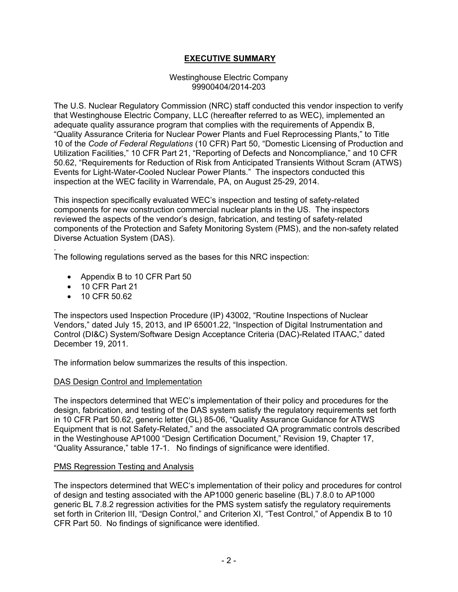# **EXECUTIVE SUMMARY**

#### Westinghouse Electric Company 99900404/2014-203

The U.S. Nuclear Regulatory Commission (NRC) staff conducted this vendor inspection to verify that Westinghouse Electric Company, LLC (hereafter referred to as WEC), implemented an adequate quality assurance program that complies with the requirements of Appendix B, "Quality Assurance Criteria for Nuclear Power Plants and Fuel Reprocessing Plants," to Title 10 of the *Code of Federal Regulations* (10 CFR) Part 50, "Domestic Licensing of Production and Utilization Facilities," 10 CFR Part 21, "Reporting of Defects and Noncompliance," and 10 CFR 50.62, "Requirements for Reduction of Risk from Anticipated Transients Without Scram (ATWS) Events for Light-Water-Cooled Nuclear Power Plants." The inspectors conducted this inspection at the WEC facility in Warrendale, PA, on August 25-29, 2014.

This inspection specifically evaluated WEC's inspection and testing of safety-related components for new construction commercial nuclear plants in the US. The inspectors reviewed the aspects of the vendor's design, fabrication, and testing of safety-related components of the Protection and Safety Monitoring System (PMS), and the non-safety related Diverse Actuation System (DAS).

The following regulations served as the bases for this NRC inspection:

- Appendix B to 10 CFR Part 50
- 10 CFR Part 21
- 10 CFR 50.62

.

The inspectors used Inspection Procedure (IP) 43002, "Routine Inspections of Nuclear Vendors," dated July 15, 2013, and IP 65001.22, "Inspection of Digital Instrumentation and Control (DI&C) System/Software Design Acceptance Criteria (DAC)-Related ITAAC," dated December 19, 2011.

The information below summarizes the results of this inspection.

## DAS Design Control and Implementation

The inspectors determined that WEC's implementation of their policy and procedures for the design, fabrication, and testing of the DAS system satisfy the regulatory requirements set forth in 10 CFR Part 50.62, generic letter (GL) 85-06, "Quality Assurance Guidance for ATWS Equipment that is not Safety-Related," and the associated QA programmatic controls described in the Westinghouse AP1000 "Design Certification Document," Revision 19, Chapter 17, "Quality Assurance," table 17-1. No findings of significance were identified.

## PMS Regression Testing and Analysis

The inspectors determined that WEC's implementation of their policy and procedures for control of design and testing associated with the AP1000 generic baseline (BL) 7.8.0 to AP1000 generic BL 7.8.2 regression activities for the PMS system satisfy the regulatory requirements set forth in Criterion III, "Design Control," and Criterion XI, "Test Control," of Appendix B to 10 CFR Part 50. No findings of significance were identified.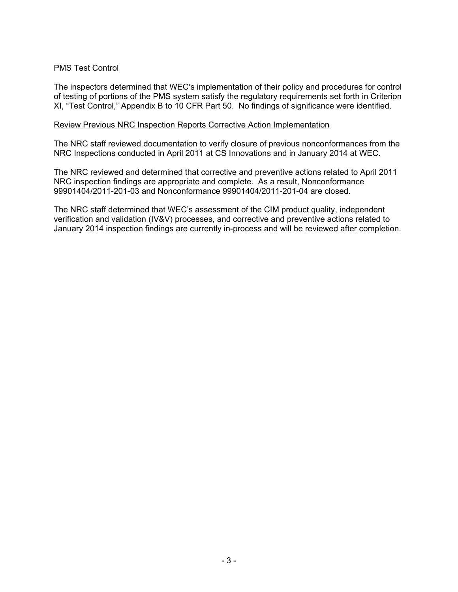## PMS Test Control

The inspectors determined that WEC's implementation of their policy and procedures for control of testing of portions of the PMS system satisfy the regulatory requirements set forth in Criterion XI, "Test Control," Appendix B to 10 CFR Part 50. No findings of significance were identified.

#### Review Previous NRC Inspection Reports Corrective Action Implementation

The NRC staff reviewed documentation to verify closure of previous nonconformances from the NRC Inspections conducted in April 2011 at CS Innovations and in January 2014 at WEC.

The NRC reviewed and determined that corrective and preventive actions related to April 2011 NRC inspection findings are appropriate and complete. As a result, Nonconformance 99901404/2011-201-03 and Nonconformance 99901404/2011-201-04 are closed.

The NRC staff determined that WEC's assessment of the CIM product quality, independent verification and validation (IV&V) processes, and corrective and preventive actions related to January 2014 inspection findings are currently in-process and will be reviewed after completion.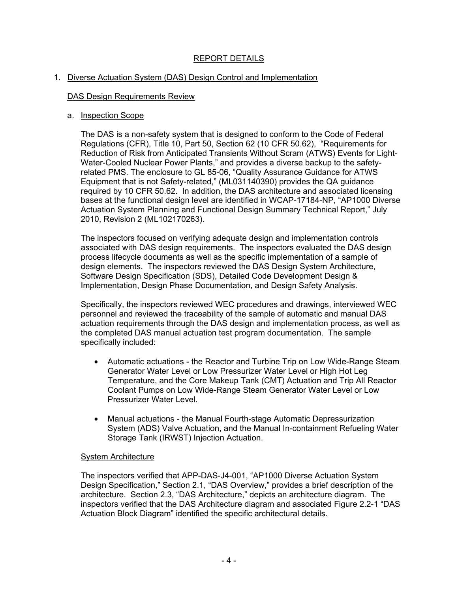# REPORT DETAILS

#### 1. Diverse Actuation System (DAS) Design Control and Implementation

#### DAS Design Requirements Review

#### a. Inspection Scope

The DAS is a non-safety system that is designed to conform to the Code of Federal Regulations (CFR), Title 10, Part 50, Section 62 (10 CFR 50.62), "Requirements for Reduction of Risk from Anticipated Transients Without Scram (ATWS) Events for Light-Water-Cooled Nuclear Power Plants," and provides a diverse backup to the safetyrelated PMS. The enclosure to GL 85-06, "Quality Assurance Guidance for ATWS Equipment that is not Safety-related," (ML031140390) provides the QA guidance required by 10 CFR 50.62. In addition, the DAS architecture and associated licensing bases at the functional design level are identified in WCAP-17184-NP, "AP1000 Diverse Actuation System Planning and Functional Design Summary Technical Report," July 2010, Revision 2 (ML102170263).

The inspectors focused on verifying adequate design and implementation controls associated with DAS design requirements. The inspectors evaluated the DAS design process lifecycle documents as well as the specific implementation of a sample of design elements. The inspectors reviewed the DAS Design System Architecture, Software Design Specification (SDS), Detailed Code Development Design & Implementation, Design Phase Documentation, and Design Safety Analysis.

Specifically, the inspectors reviewed WEC procedures and drawings, interviewed WEC personnel and reviewed the traceability of the sample of automatic and manual DAS actuation requirements through the DAS design and implementation process, as well as the completed DAS manual actuation test program documentation. The sample specifically included:

- Automatic actuations the Reactor and Turbine Trip on Low Wide-Range Steam Generator Water Level or Low Pressurizer Water Level or High Hot Leg Temperature, and the Core Makeup Tank (CMT) Actuation and Trip All Reactor Coolant Pumps on Low Wide-Range Steam Generator Water Level or Low Pressurizer Water Level.
- Manual actuations the Manual Fourth-stage Automatic Depressurization System (ADS) Valve Actuation, and the Manual In-containment Refueling Water Storage Tank (IRWST) Injection Actuation.

#### System Architecture

The inspectors verified that APP-DAS-J4-001, "AP1000 Diverse Actuation System Design Specification," Section 2.1, "DAS Overview," provides a brief description of the architecture. Section 2.3, "DAS Architecture," depicts an architecture diagram. The inspectors verified that the DAS Architecture diagram and associated Figure 2.2-1 "DAS Actuation Block Diagram" identified the specific architectural details.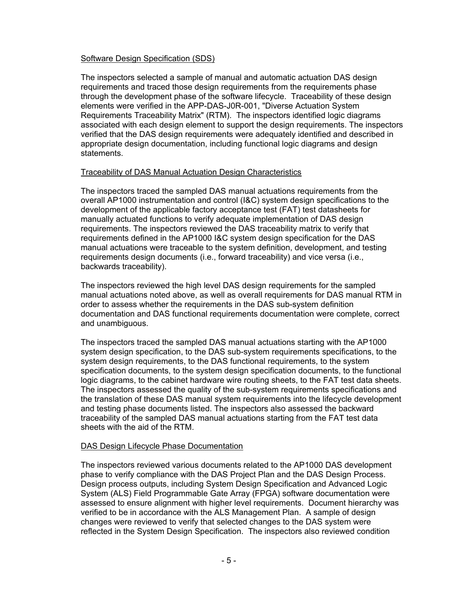## Software Design Specification (SDS)

The inspectors selected a sample of manual and automatic actuation DAS design requirements and traced those design requirements from the requirements phase through the development phase of the software lifecycle. Traceability of these design elements were verified in the APP-DAS-J0R-001, "Diverse Actuation System Requirements Traceability Matrix" (RTM). The inspectors identified logic diagrams associated with each design element to support the design requirements. The inspectors verified that the DAS design requirements were adequately identified and described in appropriate design documentation, including functional logic diagrams and design statements.

#### Traceability of DAS Manual Actuation Design Characteristics

The inspectors traced the sampled DAS manual actuations requirements from the overall AP1000 instrumentation and control (I&C) system design specifications to the development of the applicable factory acceptance test (FAT) test datasheets for manually actuated functions to verify adequate implementation of DAS design requirements. The inspectors reviewed the DAS traceability matrix to verify that requirements defined in the AP1000 I&C system design specification for the DAS manual actuations were traceable to the system definition, development, and testing requirements design documents (i.e., forward traceability) and vice versa (i.e., backwards traceability).

The inspectors reviewed the high level DAS design requirements for the sampled manual actuations noted above, as well as overall requirements for DAS manual RTM in order to assess whether the requirements in the DAS sub-system definition documentation and DAS functional requirements documentation were complete, correct and unambiguous.

The inspectors traced the sampled DAS manual actuations starting with the AP1000 system design specification, to the DAS sub-system requirements specifications, to the system design requirements, to the DAS functional requirements, to the system specification documents, to the system design specification documents, to the functional logic diagrams, to the cabinet hardware wire routing sheets, to the FAT test data sheets. The inspectors assessed the quality of the sub-system requirements specifications and the translation of these DAS manual system requirements into the lifecycle development and testing phase documents listed. The inspectors also assessed the backward traceability of the sampled DAS manual actuations starting from the FAT test data sheets with the aid of the RTM.

## DAS Design Lifecycle Phase Documentation

The inspectors reviewed various documents related to the AP1000 DAS development phase to verify compliance with the DAS Project Plan and the DAS Design Process. Design process outputs, including System Design Specification and Advanced Logic System (ALS) Field Programmable Gate Array (FPGA) software documentation were assessed to ensure alignment with higher level requirements. Document hierarchy was verified to be in accordance with the ALS Management Plan. A sample of design changes were reviewed to verify that selected changes to the DAS system were reflected in the System Design Specification. The inspectors also reviewed condition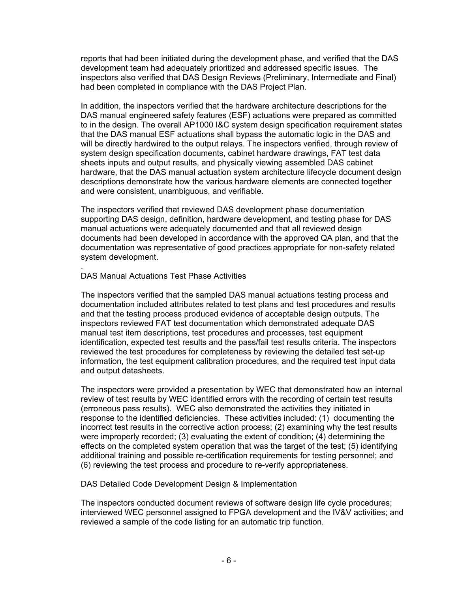reports that had been initiated during the development phase, and verified that the DAS development team had adequately prioritized and addressed specific issues. The inspectors also verified that DAS Design Reviews (Preliminary, Intermediate and Final) had been completed in compliance with the DAS Project Plan.

In addition, the inspectors verified that the hardware architecture descriptions for the DAS manual engineered safety features (ESF) actuations were prepared as committed to in the design. The overall AP1000 I&C system design specification requirement states that the DAS manual ESF actuations shall bypass the automatic logic in the DAS and will be directly hardwired to the output relays. The inspectors verified, through review of system design specification documents, cabinet hardware drawings, FAT test data sheets inputs and output results, and physically viewing assembled DAS cabinet hardware, that the DAS manual actuation system architecture lifecycle document design descriptions demonstrate how the various hardware elements are connected together and were consistent, unambiguous, and verifiable.

The inspectors verified that reviewed DAS development phase documentation supporting DAS design, definition, hardware development, and testing phase for DAS manual actuations were adequately documented and that all reviewed design documents had been developed in accordance with the approved QA plan, and that the documentation was representative of good practices appropriate for non-safety related system development.

#### . DAS Manual Actuations Test Phase Activities

The inspectors verified that the sampled DAS manual actuations testing process and documentation included attributes related to test plans and test procedures and results and that the testing process produced evidence of acceptable design outputs. The inspectors reviewed FAT test documentation which demonstrated adequate DAS manual test item descriptions, test procedures and processes, test equipment identification, expected test results and the pass/fail test results criteria. The inspectors reviewed the test procedures for completeness by reviewing the detailed test set-up information, the test equipment calibration procedures, and the required test input data and output datasheets.

The inspectors were provided a presentation by WEC that demonstrated how an internal review of test results by WEC identified errors with the recording of certain test results (erroneous pass results). WEC also demonstrated the activities they initiated in response to the identified deficiencies. These activities included: (1) documenting the incorrect test results in the corrective action process; (2) examining why the test results were improperly recorded; (3) evaluating the extent of condition; (4) determining the effects on the completed system operation that was the target of the test; (5) identifying additional training and possible re-certification requirements for testing personnel; and (6) reviewing the test process and procedure to re-verify appropriateness.

## DAS Detailed Code Development Design & Implementation

The inspectors conducted document reviews of software design life cycle procedures; interviewed WEC personnel assigned to FPGA development and the IV&V activities; and reviewed a sample of the code listing for an automatic trip function.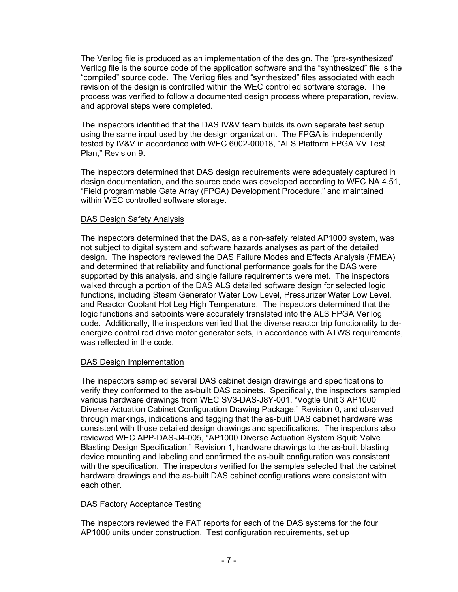The Verilog file is produced as an implementation of the design. The "pre-synthesized" Verilog file is the source code of the application software and the "synthesized" file is the "compiled" source code. The Verilog files and "synthesized" files associated with each revision of the design is controlled within the WEC controlled software storage. The process was verified to follow a documented design process where preparation, review, and approval steps were completed.

The inspectors identified that the DAS IV&V team builds its own separate test setup using the same input used by the design organization. The FPGA is independently tested by IV&V in accordance with WEC 6002-00018, "ALS Platform FPGA VV Test Plan," Revision 9.

The inspectors determined that DAS design requirements were adequately captured in design documentation, and the source code was developed according to WEC NA 4.51, "Field programmable Gate Array (FPGA) Development Procedure," and maintained within WEC controlled software storage.

## DAS Design Safety Analysis

The inspectors determined that the DAS, as a non-safety related AP1000 system, was not subject to digital system and software hazards analyses as part of the detailed design. The inspectors reviewed the DAS Failure Modes and Effects Analysis (FMEA) and determined that reliability and functional performance goals for the DAS were supported by this analysis, and single failure requirements were met. The inspectors walked through a portion of the DAS ALS detailed software design for selected logic functions, including Steam Generator Water Low Level, Pressurizer Water Low Level, and Reactor Coolant Hot Leg High Temperature. The inspectors determined that the logic functions and setpoints were accurately translated into the ALS FPGA Verilog code. Additionally, the inspectors verified that the diverse reactor trip functionality to deenergize control rod drive motor generator sets, in accordance with ATWS requirements, was reflected in the code.

## DAS Design Implementation

The inspectors sampled several DAS cabinet design drawings and specifications to verify they conformed to the as-built DAS cabinets. Specifically, the inspectors sampled various hardware drawings from WEC SV3-DAS-J8Y-001, "Vogtle Unit 3 AP1000 Diverse Actuation Cabinet Configuration Drawing Package," Revision 0, and observed through markings, indications and tagging that the as-built DAS cabinet hardware was consistent with those detailed design drawings and specifications. The inspectors also reviewed WEC APP-DAS-J4-005, "AP1000 Diverse Actuation System Squib Valve Blasting Design Specification," Revision 1, hardware drawings to the as-built blasting device mounting and labeling and confirmed the as-built configuration was consistent with the specification. The inspectors verified for the samples selected that the cabinet hardware drawings and the as-built DAS cabinet configurations were consistent with each other.

# DAS Factory Acceptance Testing

The inspectors reviewed the FAT reports for each of the DAS systems for the four AP1000 units under construction. Test configuration requirements, set up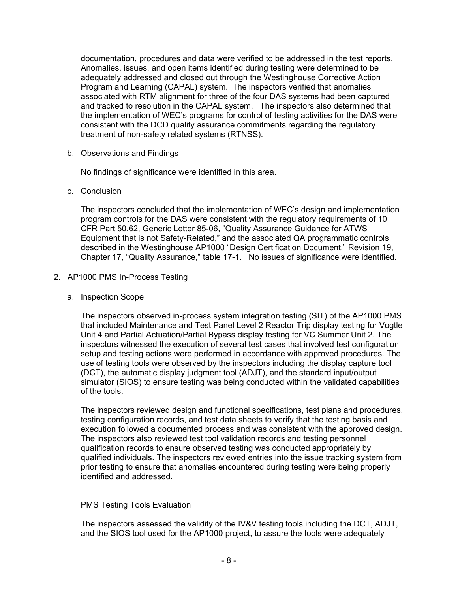documentation, procedures and data were verified to be addressed in the test reports. Anomalies, issues, and open items identified during testing were determined to be adequately addressed and closed out through the Westinghouse Corrective Action Program and Learning (CAPAL) system. The inspectors verified that anomalies associated with RTM alignment for three of the four DAS systems had been captured and tracked to resolution in the CAPAL system. The inspectors also determined that the implementation of WEC's programs for control of testing activities for the DAS were consistent with the DCD quality assurance commitments regarding the regulatory treatment of non-safety related systems (RTNSS).

## b. Observations and Findings

No findings of significance were identified in this area.

## c. Conclusion

The inspectors concluded that the implementation of WEC's design and implementation program controls for the DAS were consistent with the regulatory requirements of 10 CFR Part 50.62, Generic Letter 85-06, "Quality Assurance Guidance for ATWS Equipment that is not Safety-Related," and the associated QA programmatic controls described in the Westinghouse AP1000 "Design Certification Document," Revision 19, Chapter 17, "Quality Assurance," table 17-1. No issues of significance were identified.

## 2. AP1000 PMS In-Process Testing

## a. Inspection Scope

The inspectors observed in-process system integration testing (SIT) of the AP1000 PMS that included Maintenance and Test Panel Level 2 Reactor Trip display testing for Vogtle Unit 4 and Partial Actuation/Partial Bypass display testing for VC Summer Unit 2. The inspectors witnessed the execution of several test cases that involved test configuration setup and testing actions were performed in accordance with approved procedures. The use of testing tools were observed by the inspectors including the display capture tool (DCT), the automatic display judgment tool (ADJT), and the standard input/output simulator (SIOS) to ensure testing was being conducted within the validated capabilities of the tools.

The inspectors reviewed design and functional specifications, test plans and procedures, testing configuration records, and test data sheets to verify that the testing basis and execution followed a documented process and was consistent with the approved design. The inspectors also reviewed test tool validation records and testing personnel qualification records to ensure observed testing was conducted appropriately by qualified individuals. The inspectors reviewed entries into the issue tracking system from prior testing to ensure that anomalies encountered during testing were being properly identified and addressed.

# PMS Testing Tools Evaluation

The inspectors assessed the validity of the IV&V testing tools including the DCT, ADJT, and the SIOS tool used for the AP1000 project, to assure the tools were adequately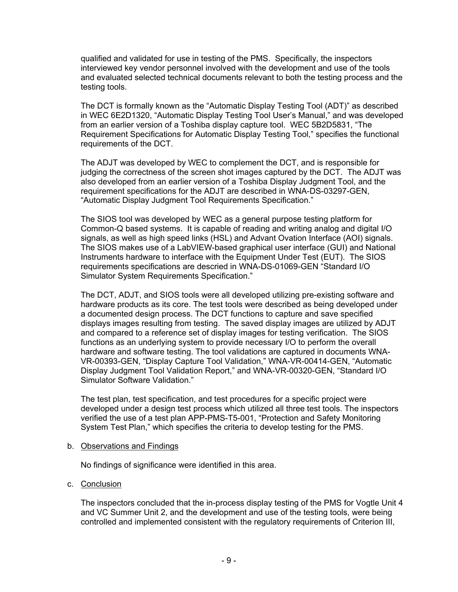qualified and validated for use in testing of the PMS. Specifically, the inspectors interviewed key vendor personnel involved with the development and use of the tools and evaluated selected technical documents relevant to both the testing process and the testing tools.

The DCT is formally known as the "Automatic Display Testing Tool (ADT)" as described in WEC 6E2D1320, "Automatic Display Testing Tool User's Manual," and was developed from an earlier version of a Toshiba display capture tool. WEC 5B2D5831, "The Requirement Specifications for Automatic Display Testing Tool," specifies the functional requirements of the DCT.

The ADJT was developed by WEC to complement the DCT, and is responsible for judging the correctness of the screen shot images captured by the DCT. The ADJT was also developed from an earlier version of a Toshiba Display Judgment Tool, and the requirement specifications for the ADJT are described in WNA-DS-03297-GEN, "Automatic Display Judgment Tool Requirements Specification."

The SIOS tool was developed by WEC as a general purpose testing platform for Common-Q based systems. It is capable of reading and writing analog and digital I/O signals, as well as high speed links (HSL) and Advant Ovation Interface (AOI) signals. The SIOS makes use of a LabVIEW-based graphical user interface (GUI) and National Instruments hardware to interface with the Equipment Under Test (EUT). The SIOS requirements specifications are descried in WNA-DS-01069-GEN "Standard I/O Simulator System Requirements Specification."

The DCT, ADJT, and SIOS tools were all developed utilizing pre-existing software and hardware products as its core. The test tools were described as being developed under a documented design process. The DCT functions to capture and save specified displays images resulting from testing. The saved display images are utilized by ADJT and compared to a reference set of display images for testing verification. The SIOS functions as an underlying system to provide necessary I/O to perform the overall hardware and software testing. The tool validations are captured in documents WNA-VR-00393-GEN, "Display Capture Tool Validation," WNA-VR-00414-GEN, "Automatic Display Judgment Tool Validation Report," and WNA-VR-00320-GEN, "Standard I/O Simulator Software Validation."

The test plan, test specification, and test procedures for a specific project were developed under a design test process which utilized all three test tools. The inspectors verified the use of a test plan APP-PMS-T5-001, "Protection and Safety Monitoring System Test Plan," which specifies the criteria to develop testing for the PMS.

#### b. Observations and Findings

No findings of significance were identified in this area.

#### c. Conclusion

The inspectors concluded that the in-process display testing of the PMS for Vogtle Unit 4 and VC Summer Unit 2, and the development and use of the testing tools, were being controlled and implemented consistent with the regulatory requirements of Criterion III,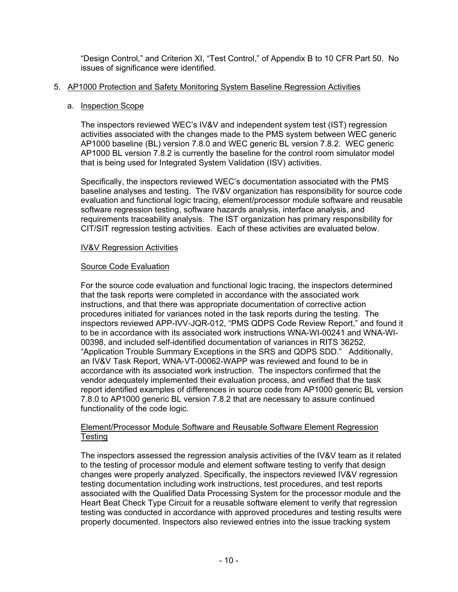"Design Control," and Criterion XI, "Test Control," of Appendix B to 10 CFR Part 50. No issues of significance were identified.

## 5. AP1000 Protection and Safety Monitoring System Baseline Regression Activities

## a. Inspection Scope

The inspectors reviewed WEC's IV&V and independent system test (IST) regression activities associated with the changes made to the PMS system between WEC generic AP1000 baseline (BL) version 7.8.0 and WEC generic BL version 7.8.2. WEC generic AP1000 BL version 7.8.2 is currently the baseline for the control room simulator model that is being used for Integrated System Validation (ISV) activities.

Specifically, the inspectors reviewed WEC's documentation associated with the PMS baseline analyses and testing. The IV&V organization has responsibility for source code evaluation and functional logic tracing, element/processor module software and reusable software regression testing, software hazards analysis, interface analysis, and requirements traceability analysis. The IST organization has primary responsibility for CIT/SIT regression testing activities. Each of these activities are evaluated below.

## IV&V Regression Activities

# Source Code Evaluation

For the source code evaluation and functional logic tracing, the inspectors determined that the task reports were completed in accordance with the associated work instructions, and that there was appropriate documentation of corrective action procedures initiated for variances noted in the task reports during the testing. The inspectors reviewed APP-IVV-JQR-012, "PMS QDPS Code Review Report," and found it to be in accordance with its associated work instructions WNA-WI-00241 and WNA-WI-00398, and included self-identified documentation of variances in RITS 36252, "Application Trouble Summary Exceptions in the SRS and QDPS SDD." Additionally, an IV&V Task Report, WNA-VT-00062-WAPP was reviewed and found to be in accordance with its associated work instruction. The inspectors confirmed that the vendor adequately implemented their evaluation process, and verified that the task report identified examples of differences in source code from AP1000 generic BL version 7.8.0 to AP1000 generic BL version 7.8.2 that are necessary to assure continued functionality of the code logic.

## Element/Processor Module Software and Reusable Software Element Regression **Testing**

The inspectors assessed the regression analysis activities of the IV&V team as it related to the testing of processor module and element software testing to verify that design changes were properly analyzed. Specifically, the inspectors reviewed IV&V regression testing documentation including work instructions, test procedures, and test reports associated with the Qualified Data Processing System for the processor module and the Heart Beat Check Type Circuit for a reusable software element to verify that regression testing was conducted in accordance with approved procedures and testing results were properly documented. Inspectors also reviewed entries into the issue tracking system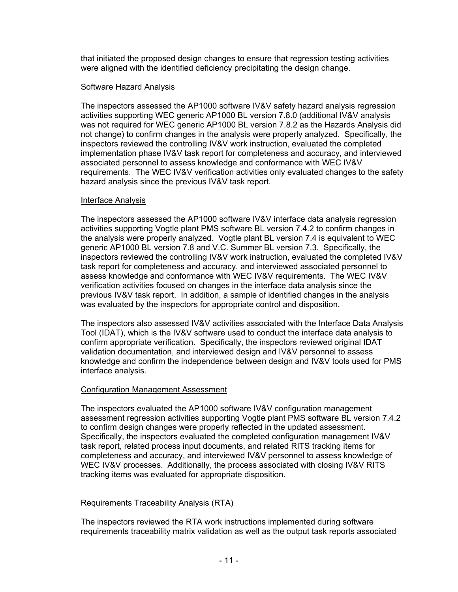that initiated the proposed design changes to ensure that regression testing activities were aligned with the identified deficiency precipitating the design change.

## Software Hazard Analysis

The inspectors assessed the AP1000 software IV&V safety hazard analysis regression activities supporting WEC generic AP1000 BL version 7.8.0 (additional IV&V analysis was not required for WEC generic AP1000 BL version 7.8.2 as the Hazards Analysis did not change) to confirm changes in the analysis were properly analyzed. Specifically, the inspectors reviewed the controlling IV&V work instruction, evaluated the completed implementation phase IV&V task report for completeness and accuracy, and interviewed associated personnel to assess knowledge and conformance with WEC IV&V requirements. The WEC IV&V verification activities only evaluated changes to the safety hazard analysis since the previous IV&V task report.

## Interface Analysis

The inspectors assessed the AP1000 software IV&V interface data analysis regression activities supporting Vogtle plant PMS software BL version 7.4.2 to confirm changes in the analysis were properly analyzed. Vogtle plant BL version 7.4 is equivalent to WEC generic AP1000 BL version 7.8 and V.C. Summer BL version 7.3. Specifically, the inspectors reviewed the controlling IV&V work instruction, evaluated the completed IV&V task report for completeness and accuracy, and interviewed associated personnel to assess knowledge and conformance with WEC IV&V requirements. The WEC IV&V verification activities focused on changes in the interface data analysis since the previous IV&V task report. In addition, a sample of identified changes in the analysis was evaluated by the inspectors for appropriate control and disposition.

The inspectors also assessed IV&V activities associated with the Interface Data Analysis Tool (IDAT), which is the IV&V software used to conduct the interface data analysis to confirm appropriate verification. Specifically, the inspectors reviewed original IDAT validation documentation, and interviewed design and IV&V personnel to assess knowledge and confirm the independence between design and IV&V tools used for PMS interface analysis.

## Configuration Management Assessment

The inspectors evaluated the AP1000 software IV&V configuration management assessment regression activities supporting Vogtle plant PMS software BL version 7.4.2 to confirm design changes were properly reflected in the updated assessment. Specifically, the inspectors evaluated the completed configuration management IV&V task report, related process input documents, and related RITS tracking items for completeness and accuracy, and interviewed IV&V personnel to assess knowledge of WEC IV&V processes. Additionally, the process associated with closing IV&V RITS tracking items was evaluated for appropriate disposition.

## Requirements Traceability Analysis (RTA)

The inspectors reviewed the RTA work instructions implemented during software requirements traceability matrix validation as well as the output task reports associated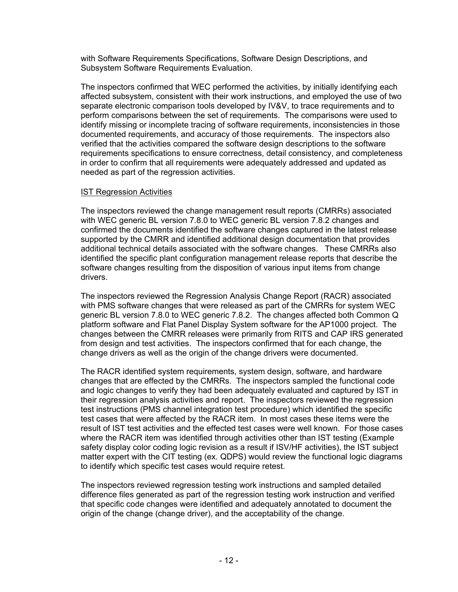with Software Requirements Specifications, Software Design Descriptions, and Subsystem Software Requirements Evaluation.

The inspectors confirmed that WEC performed the activities, by initially identifying each affected subsystem, consistent with their work instructions, and employed the use of two separate electronic comparison tools developed by IV&V, to trace requirements and to perform comparisons between the set of requirements. The comparisons were used to identify missing or incomplete tracing of software requirements, inconsistencies in those documented requirements, and accuracy of those requirements. The inspectors also verified that the activities compared the software design descriptions to the software requirements specifications to ensure correctness, detail consistency, and completeness in order to confirm that all requirements were adequately addressed and updated as needed as part of the regression activities.

## IST Regression Activities

The inspectors reviewed the change management result reports (CMRRs) associated with WEC generic BL version 7.8.0 to WEC generic BL version 7.8.2 changes and confirmed the documents identified the software changes captured in the latest release supported by the CMRR and identified additional design documentation that provides additional technical details associated with the software changes. These CMRRs also identified the specific plant configuration management release reports that describe the software changes resulting from the disposition of various input items from change drivers.

The inspectors reviewed the Regression Analysis Change Report (RACR) associated with PMS software changes that were released as part of the CMRRs for system WEC generic BL version 7.8.0 to WEC generic 7.8.2. The changes affected both Common Q platform software and Flat Panel Display System software for the AP1000 project. The changes between the CMRR releases were primarily from RITS and CAP IRS generated from design and test activities. The inspectors confirmed that for each change, the change drivers as well as the origin of the change drivers were documented.

The RACR identified system requirements, system design, software, and hardware changes that are effected by the CMRRs. The inspectors sampled the functional code and logic changes to verify they had been adequately evaluated and captured by IST in their regression analysis activities and report. The inspectors reviewed the regression test instructions (PMS channel integration test procedure) which identified the specific test cases that were affected by the RACR item. In most cases these items were the result of IST test activities and the effected test cases were well known. For those cases where the RACR item was identified through activities other than IST testing (Example safety display color coding logic revision as a result if ISV/HF activities), the IST subject matter expert with the CIT testing (ex. QDPS) would review the functional logic diagrams to identify which specific test cases would require retest.

The inspectors reviewed regression testing work instructions and sampled detailed difference files generated as part of the regression testing work instruction and verified that specific code changes were identified and adequately annotated to document the origin of the change (change driver), and the acceptability of the change.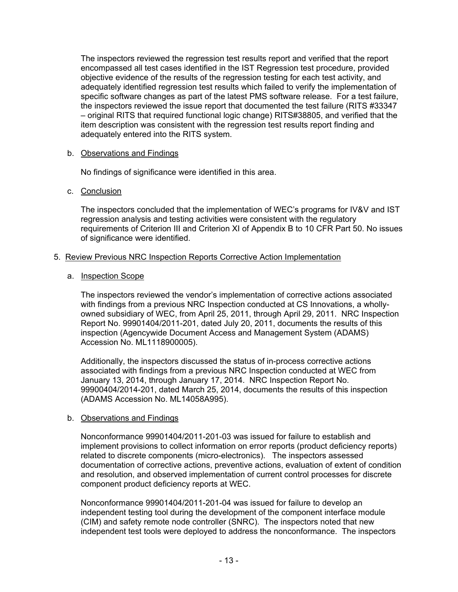The inspectors reviewed the regression test results report and verified that the report encompassed all test cases identified in the IST Regression test procedure, provided objective evidence of the results of the regression testing for each test activity, and adequately identified regression test results which failed to verify the implementation of specific software changes as part of the latest PMS software release. For a test failure, the inspectors reviewed the issue report that documented the test failure (RITS #33347 – original RITS that required functional logic change) RITS#38805, and verified that the item description was consistent with the regression test results report finding and adequately entered into the RITS system.

## b. Observations and Findings

No findings of significance were identified in this area.

## c. Conclusion

The inspectors concluded that the implementation of WEC's programs for IV&V and IST regression analysis and testing activities were consistent with the regulatory requirements of Criterion III and Criterion XI of Appendix B to 10 CFR Part 50. No issues of significance were identified.

## 5. Review Previous NRC Inspection Reports Corrective Action Implementation

#### a. Inspection Scope

The inspectors reviewed the vendor's implementation of corrective actions associated with findings from a previous NRC Inspection conducted at CS Innovations, a whollyowned subsidiary of WEC, from April 25, 2011, through April 29, 2011. NRC Inspection Report No. 99901404/2011-201, dated July 20, 2011, documents the results of this inspection (Agencywide Document Access and Management System (ADAMS) Accession No. ML1118900005).

Additionally, the inspectors discussed the status of in-process corrective actions associated with findings from a previous NRC Inspection conducted at WEC from January 13, 2014, through January 17, 2014. NRC Inspection Report No. 99900404/2014-201, dated March 25, 2014, documents the results of this inspection (ADAMS Accession No. ML14058A995).

## b. Observations and Findings

Nonconformance 99901404/2011-201-03 was issued for failure to establish and implement provisions to collect information on error reports (product deficiency reports) related to discrete components (micro-electronics). The inspectors assessed documentation of corrective actions, preventive actions, evaluation of extent of condition and resolution, and observed implementation of current control processes for discrete component product deficiency reports at WEC.

Nonconformance 99901404/2011-201-04 was issued for failure to develop an independent testing tool during the development of the component interface module (CIM) and safety remote node controller (SNRC). The inspectors noted that new independent test tools were deployed to address the nonconformance. The inspectors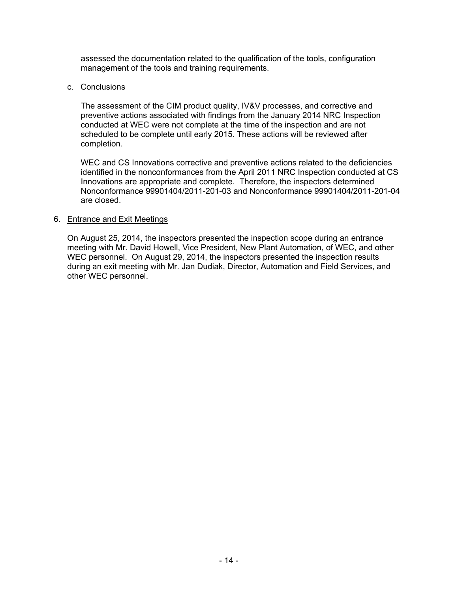assessed the documentation related to the qualification of the tools, configuration management of the tools and training requirements.

#### c. Conclusions

The assessment of the CIM product quality, IV&V processes, and corrective and preventive actions associated with findings from the January 2014 NRC Inspection conducted at WEC were not complete at the time of the inspection and are not scheduled to be complete until early 2015. These actions will be reviewed after completion.

WEC and CS Innovations corrective and preventive actions related to the deficiencies identified in the nonconformances from the April 2011 NRC Inspection conducted at CS Innovations are appropriate and complete. Therefore, the inspectors determined Nonconformance 99901404/2011-201-03 and Nonconformance 99901404/2011-201-04 are closed.

#### 6. Entrance and Exit Meetings

On August 25, 2014, the inspectors presented the inspection scope during an entrance meeting with Mr. David Howell, Vice President, New Plant Automation, of WEC, and other WEC personnel. On August 29, 2014, the inspectors presented the inspection results during an exit meeting with Mr. Jan Dudiak, Director, Automation and Field Services, and other WEC personnel.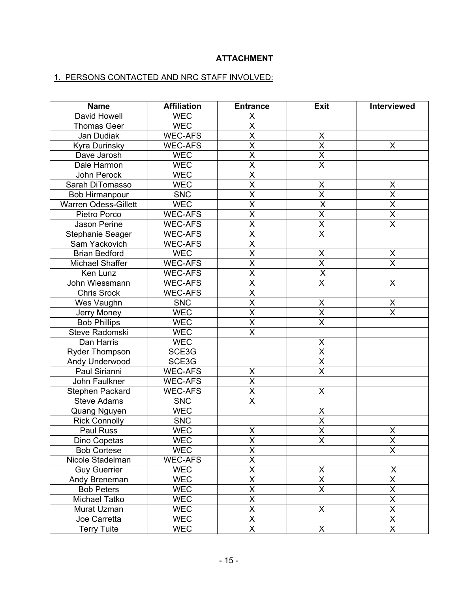# **ATTACHMENT**

## 1. PERSONS CONTACTED AND NRC STAFF INVOLVED:

| <b>Name</b>                 | <b>Affiliation</b> | <b>Entrance</b>                 | <b>Exit</b>             | Interviewed             |
|-----------------------------|--------------------|---------------------------------|-------------------------|-------------------------|
| David Howell                | <b>WEC</b>         | X                               |                         |                         |
| <b>Thomas Geer</b>          | <b>WEC</b>         | $\overline{\mathsf{x}}$         |                         |                         |
| Jan Dudiak                  | <b>WEC-AFS</b>     | $\overline{\mathsf{x}}$         | X                       |                         |
| Kyra Durinsky               | <b>WEC-AFS</b>     | $\overline{\mathsf{x}}$         | $\overline{\mathsf{x}}$ | X                       |
| Dave Jarosh                 | <b>WEC</b>         | $\overline{\mathsf{x}}$         | $\overline{\mathsf{x}}$ |                         |
| Dale Harmon                 | <b>WEC</b>         | $\overline{\mathsf{x}}$         | $\overline{\mathsf{x}}$ |                         |
| John Perock                 | <b>WEC</b>         | $\overline{\mathsf{x}}$         |                         |                         |
| Sarah DiTomasso             | <b>WEC</b>         | $\overline{\mathsf{x}}$         | $\pmb{\mathsf{X}}$      | X                       |
| <b>Bob Hirmanpour</b>       | <b>SNC</b>         | $\overline{\mathsf{x}}$         | $\overline{\mathsf{x}}$ | $\overline{\mathsf{x}}$ |
| <b>Warren Odess-Gillett</b> | <b>WEC</b>         | $\overline{\mathsf{x}}$         | $\overline{\mathsf{x}}$ | $\overline{\mathsf{x}}$ |
| Pietro Porco                | <b>WEC-AFS</b>     | $\overline{\mathsf{x}}$         | $\overline{\mathsf{x}}$ | $\overline{\mathsf{x}}$ |
| Jason Perine                | <b>WEC-AFS</b>     | $\overline{\mathsf{x}}$         | $\overline{\mathsf{X}}$ | $\overline{\mathsf{x}}$ |
| Stephanie Seager            | <b>WEC-AFS</b>     | $\overline{\mathsf{x}}$         | $\overline{\mathsf{X}}$ |                         |
| Sam Yackovich               | <b>WEC-AFS</b>     | $\overline{\mathsf{x}}$         |                         |                         |
| <b>Brian Bedford</b>        | <b>WEC</b>         | $\overline{\mathsf{x}}$         | X                       | X                       |
| Michael Shaffer             | <b>WEC-AFS</b>     | $\overline{\mathsf{x}}$         | $\overline{\mathsf{X}}$ | $\overline{\mathsf{x}}$ |
| Ken Lunz                    | <b>WEC-AFS</b>     | $\overline{\mathsf{x}}$         | $\overline{\mathsf{x}}$ |                         |
| John Wiessmann              | <b>WEC-AFS</b>     | $\overline{\mathsf{x}}$         | $\overline{\mathsf{x}}$ | X                       |
| <b>Chris Srock</b>          | WEC-AFS            | $\overline{\mathsf{x}}$         |                         |                         |
| Wes Vaughn                  | <b>SNC</b>         | $\overline{\mathsf{x}}$         | X                       | X                       |
| Jerry Money                 | <b>WEC</b>         | $\overline{\mathsf{x}}$         | $\overline{X}$          | X                       |
| <b>Bob Phillips</b>         | <b>WEC</b>         | $\overline{\mathsf{x}}$         | X                       |                         |
| Steve Radomski              | <b>WEC</b>         | $\overline{\mathsf{x}}$         |                         |                         |
| Dan Harris                  | <b>WEC</b>         |                                 | X                       |                         |
| <b>Ryder Thompson</b>       | SCE3G              |                                 | $\overline{\mathsf{x}}$ |                         |
| Andy Underwood              | SCE3G              |                                 | $\overline{X}$          |                         |
| Paul Sirianni               | <b>WEC-AFS</b>     | X                               | $\overline{\mathsf{x}}$ |                         |
| John Faulkner               | <b>WEC-AFS</b>     | $\overline{\mathsf{x}}$         |                         |                         |
| Stephen Packard             | <b>WEC-AFS</b>     | $\overline{\mathsf{x}}$         | $\pmb{\mathsf{X}}$      |                         |
| <b>Steve Adams</b>          | <b>SNC</b>         | $\overline{\mathsf{x}}$         |                         |                         |
| Quang Nguyen                | <b>WEC</b>         |                                 | $\pmb{\mathsf{X}}$      |                         |
| <b>Rick Connolly</b>        | <b>SNC</b>         |                                 | $\overline{X}$          |                         |
| Paul Russ                   | <b>WEC</b>         | X                               | $\overline{\mathsf{x}}$ | X                       |
| Dino Copetas                | <b>WEC</b>         | X                               | X                       | X                       |
| <b>Bob Cortese</b>          | <b>WEC</b>         | $\overline{\mathsf{x}}$         |                         | $\overline{\mathsf{x}}$ |
| Nicole Stadelman            | <b>WEC-AFS</b>     | $\overline{\mathsf{x}}$         |                         |                         |
| <b>Guy Guerrier</b>         | <b>WEC</b>         | $\overline{\mathsf{x}}$         | X                       | $\pmb{\times}$          |
| Andy Breneman               | <b>WEC</b>         | $\frac{\mathsf{x}}{\mathsf{x}}$ | $\overline{X}$          | $\overline{\mathsf{x}}$ |
| <b>Bob Peters</b>           | <b>WEC</b>         |                                 | $\overline{\mathsf{x}}$ | $\overline{\mathsf{x}}$ |
| Michael Tatko               | <b>WEC</b>         | $\overline{\mathsf{x}}$         |                         | $\overline{\mathsf{x}}$ |
| Murat Uzman                 | <b>WEC</b>         | $\pmb{\mathsf{X}}$              | X                       | X                       |
| Joe Carretta                | <b>WEC</b>         | $\overline{X}$                  |                         | $\overline{\mathsf{X}}$ |
| <b>Terry Tuite</b>          | <b>WEC</b>         | $\overline{\mathsf{X}}$         | X                       | X                       |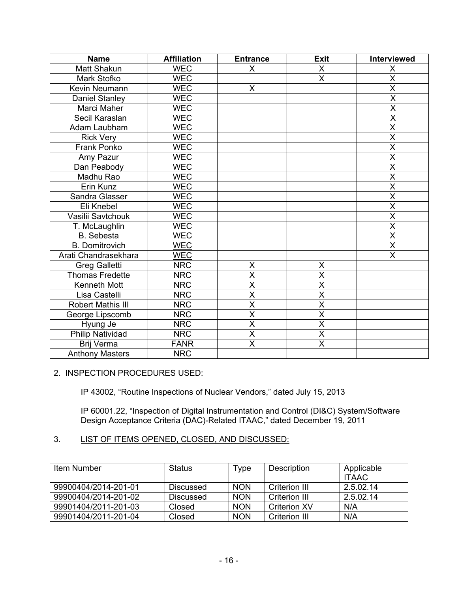| <b>Name</b>              | <b>Affiliation</b> | <b>Entrance</b>         | <b>Exit</b>             | Interviewed             |
|--------------------------|--------------------|-------------------------|-------------------------|-------------------------|
| Matt Shakun              | <b>WEC</b>         | X                       | X                       | X                       |
| Mark Stofko              | <b>WEC</b>         |                         | X                       | X                       |
| Kevin Neumann            | <b>WEC</b>         | X                       |                         | X                       |
| Daniel Stanley           | <b>WEC</b>         |                         |                         | $\overline{\mathsf{X}}$ |
| Marci Maher              | <b>WEC</b>         |                         |                         | $\overline{\mathsf{X}}$ |
| Secil Karaslan           | <b>WEC</b>         |                         |                         | $\overline{\mathsf{x}}$ |
| Adam Laubham             | <b>WEC</b>         |                         |                         | $\overline{\mathsf{X}}$ |
| <b>Rick Very</b>         | <b>WEC</b>         |                         |                         | $\overline{\mathsf{x}}$ |
| Frank Ponko              | <b>WEC</b>         |                         |                         | $\overline{\mathsf{X}}$ |
| Amy Pazur                | <b>WEC</b>         |                         |                         | $\overline{\mathsf{x}}$ |
| Dan Peabody              | <b>WEC</b>         |                         |                         | $\overline{\mathsf{X}}$ |
| Madhu Rao                | <b>WEC</b>         |                         |                         | $\overline{\mathsf{x}}$ |
| Erin Kunz                | <b>WEC</b>         |                         |                         | $\overline{\mathsf{x}}$ |
| Sandra Glasser           | <b>WEC</b>         |                         |                         | $\overline{\mathsf{x}}$ |
| Eli Knebel               | <b>WEC</b>         |                         |                         | $\overline{\mathsf{x}}$ |
| Vasilii Savtchouk        | <b>WEC</b>         |                         |                         | $\overline{\mathsf{x}}$ |
| T. McLaughlin            | <b>WEC</b>         |                         |                         | $\overline{\mathsf{x}}$ |
| <b>B.</b> Sebesta        | <b>WEC</b>         |                         |                         | $\overline{\mathsf{x}}$ |
| <b>B.</b> Domitrovich    | <b>WEC</b>         |                         |                         | $\overline{\mathsf{x}}$ |
| Arati Chandrasekhara     | <b>WEC</b>         |                         |                         | X                       |
| <b>Greg Galletti</b>     | <b>NRC</b>         | X                       | X                       |                         |
| <b>Thomas Fredette</b>   | <b>NRC</b>         | $\overline{\mathsf{x}}$ | X                       |                         |
| Kenneth Mott             | <b>NRC</b>         | $\overline{\mathsf{x}}$ | $\overline{\mathsf{x}}$ |                         |
| Lisa Castelli            | <b>NRC</b>         | $\overline{\mathsf{x}}$ | $\overline{\mathsf{x}}$ |                         |
| <b>Robert Mathis III</b> | <b>NRC</b>         | $\overline{\mathsf{x}}$ | $\overline{\mathsf{x}}$ |                         |
| George Lipscomb          | <b>NRC</b>         | $\overline{\mathsf{x}}$ | $\overline{\mathsf{x}}$ |                         |
| Hyung Je                 | <b>NRC</b>         | $\overline{\mathsf{X}}$ | $\overline{\mathsf{x}}$ |                         |
| Philip Natividad         | <b>NRC</b>         | $\overline{\mathsf{X}}$ | $\overline{\mathsf{x}}$ |                         |
| Brij Verma               | <b>FANR</b>        | $\overline{\mathsf{x}}$ | $\overline{\mathsf{X}}$ |                         |
| <b>Anthony Masters</b>   | <b>NRC</b>         |                         |                         |                         |

## 2. INSPECTION PROCEDURES USED:

IP 43002, "Routine Inspections of Nuclear Vendors," dated July 15, 2013

IP 60001.22, "Inspection of Digital Instrumentation and Control (DI&C) System/Software Design Acceptance Criteria (DAC)-Related ITAAC," dated December 19, 2011

## 3. LIST OF ITEMS OPENED, CLOSED, AND DISCUSSED:

| Item Number          | Status           | Type       | Description          | Applicable<br><b>ITAAC</b> |
|----------------------|------------------|------------|----------------------|----------------------------|
| 99900404/2014-201-01 | Discussed        | <b>NON</b> | <b>Criterion III</b> | 2.5.02.14                  |
| 99900404/2014-201-02 | <b>Discussed</b> | <b>NON</b> | Criterion III        | 2.5.02.14                  |
| 99901404/2011-201-03 | Closed           | <b>NON</b> | <b>Criterion XV</b>  | N/A                        |
| 99901404/2011-201-04 | Closed           | <b>NON</b> | Criterion III        | N/A                        |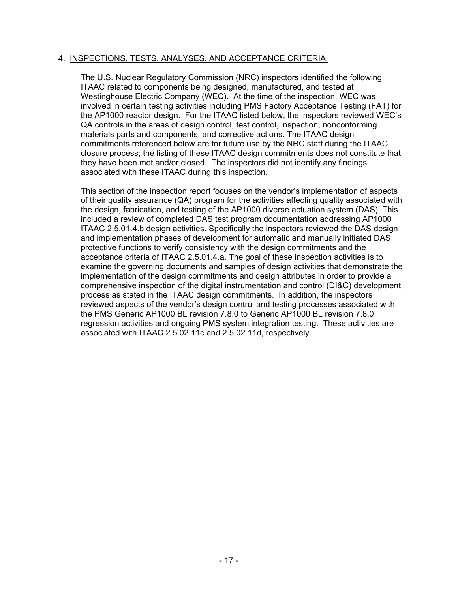## 4. INSPECTIONS, TESTS, ANALYSES, AND ACCEPTANCE CRITERIA:

The U.S. Nuclear Regulatory Commission (NRC) inspectors identified the following ITAAC related to components being designed, manufactured, and tested at Westinghouse Electric Company (WEC). At the time of the inspection, WEC was involved in certain testing activities including PMS Factory Acceptance Testing (FAT) for the AP1000 reactor design. For the ITAAC listed below, the inspectors reviewed WEC's QA controls in the areas of design control, test control, inspection, nonconforming materials parts and components, and corrective actions. The ITAAC design commitments referenced below are for future use by the NRC staff during the ITAAC closure process; the listing of these ITAAC design commitments does not constitute that they have been met and/or closed. The inspectors did not identify any findings associated with these ITAAC during this inspection.

This section of the inspection report focuses on the vendor's implementation of aspects of their quality assurance (QA) program for the activities affecting quality associated with the design, fabrication, and testing of the AP1000 diverse actuation system (DAS). This included a review of completed DAS test program documentation addressing AP1000 ITAAC 2.5.01.4.b design activities. Specifically the inspectors reviewed the DAS design and implementation phases of development for automatic and manually initiated DAS protective functions to verify consistency with the design commitments and the acceptance criteria of ITAAC 2.5.01.4.a. The goal of these inspection activities is to examine the governing documents and samples of design activities that demonstrate the implementation of the design commitments and design attributes in order to provide a comprehensive inspection of the digital instrumentation and control (DI&C) development process as stated in the ITAAC design commitments. In addition, the inspectors reviewed aspects of the vendor's design control and testing processes associated with the PMS Generic AP1000 BL revision 7.8.0 to Generic AP1000 BL revision 7.8.0 regression activities and ongoing PMS system integration testing. These activities are associated with ITAAC 2.5.02.11c and 2.5.02.11d, respectively.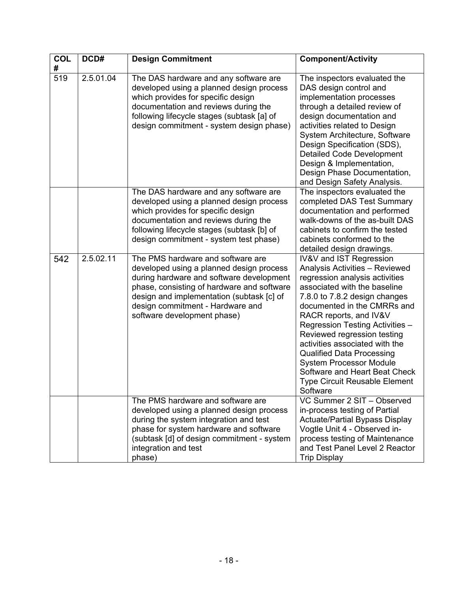| <b>COL</b> | DCD#      | <b>Design Commitment</b>                                                                                                                                                                                                                                                                | <b>Component/Activity</b>                                                                                                                                                                                                                                                                                                                                                                                                                                                                   |
|------------|-----------|-----------------------------------------------------------------------------------------------------------------------------------------------------------------------------------------------------------------------------------------------------------------------------------------|---------------------------------------------------------------------------------------------------------------------------------------------------------------------------------------------------------------------------------------------------------------------------------------------------------------------------------------------------------------------------------------------------------------------------------------------------------------------------------------------|
| #          |           |                                                                                                                                                                                                                                                                                         |                                                                                                                                                                                                                                                                                                                                                                                                                                                                                             |
| 519        | 2.5.01.04 | The DAS hardware and any software are<br>developed using a planned design process<br>which provides for specific design<br>documentation and reviews during the<br>following lifecycle stages (subtask [a] of<br>design commitment - system design phase)                               | The inspectors evaluated the<br>DAS design control and<br>implementation processes<br>through a detailed review of<br>design documentation and<br>activities related to Design<br>System Architecture, Software<br>Design Specification (SDS),<br><b>Detailed Code Development</b><br>Design & Implementation,<br>Design Phase Documentation,<br>and Design Safety Analysis.                                                                                                                |
|            |           | The DAS hardware and any software are<br>developed using a planned design process<br>which provides for specific design<br>documentation and reviews during the<br>following lifecycle stages (subtask [b] of<br>design commitment - system test phase)                                 | The inspectors evaluated the<br>completed DAS Test Summary<br>documentation and performed<br>walk-downs of the as-built DAS<br>cabinets to confirm the tested<br>cabinets conformed to the<br>detailed design drawings.                                                                                                                                                                                                                                                                     |
| 542        | 2.5.02.11 | The PMS hardware and software are<br>developed using a planned design process<br>during hardware and software development<br>phase, consisting of hardware and software<br>design and implementation (subtask [c] of<br>design commitment - Hardware and<br>software development phase) | IV&V and IST Regression<br><b>Analysis Activities - Reviewed</b><br>regression analysis activities<br>associated with the baseline<br>7.8.0 to 7.8.2 design changes<br>documented in the CMRRs and<br>RACR reports, and IV&V<br>Regression Testing Activities -<br>Reviewed regression testing<br>activities associated with the<br><b>Qualified Data Processing</b><br><b>System Processor Module</b><br>Software and Heart Beat Check<br><b>Type Circuit Reusable Element</b><br>Software |
|            |           | The PMS hardware and software are<br>developed using a planned design process<br>during the system integration and test<br>phase for system hardware and software<br>(subtask [d] of design commitment - system<br>integration and test<br>phase)                                       | VC Summer 2 SIT - Observed<br>in-process testing of Partial<br><b>Actuate/Partial Bypass Display</b><br>Vogtle Unit 4 - Observed in-<br>process testing of Maintenance<br>and Test Panel Level 2 Reactor<br><b>Trip Display</b>                                                                                                                                                                                                                                                             |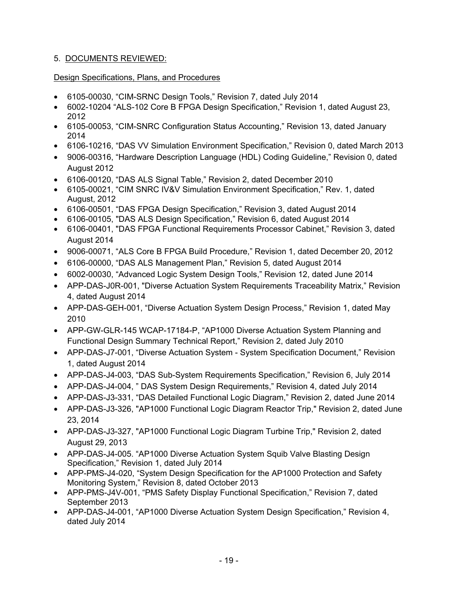# 5. DOCUMENTS REVIEWED:

# Design Specifications, Plans, and Procedures

- 6105-00030, "CIM-SRNC Design Tools," Revision 7, dated July 2014
- 6002-10204 "ALS-102 Core B FPGA Design Specification," Revision 1, dated August 23, 2012
- 6105-00053, "CIM-SNRC Configuration Status Accounting," Revision 13, dated January 2014
- 6106-10216, "DAS VV Simulation Environment Specification," Revision 0, dated March 2013
- 9006-00316, "Hardware Description Language (HDL) Coding Guideline," Revision 0, dated August 2012
- 6106-00120, "DAS ALS Signal Table," Revision 2, dated December 2010
- 6105-00021, "CIM SNRC IV&V Simulation Environment Specification," Rev. 1, dated August, 2012
- 6106-00501, "DAS FPGA Design Specification," Revision 3, dated August 2014
- 6106-00105, "DAS ALS Design Specification," Revision 6, dated August 2014
- 6106-00401, "DAS FPGA Functional Requirements Processor Cabinet," Revision 3, dated August 2014
- 9006-00071, "ALS Core B FPGA Build Procedure," Revision 1, dated December 20, 2012
- 6106-00000, "DAS ALS Management Plan," Revision 5, dated August 2014
- 6002-00030, "Advanced Logic System Design Tools," Revision 12, dated June 2014
- APP-DAS-J0R-001, "Diverse Actuation System Requirements Traceability Matrix," Revision 4, dated August 2014
- APP-DAS-GEH-001, "Diverse Actuation System Design Process," Revision 1, dated May 2010
- APP-GW-GLR-145 WCAP-17184-P, "AP1000 Diverse Actuation System Planning and Functional Design Summary Technical Report," Revision 2, dated July 2010
- APP-DAS-J7-001, "Diverse Actuation System System Specification Document," Revision 1, dated August 2014
- APP-DAS-J4-003, "DAS Sub-System Requirements Specification," Revision 6, July 2014
- APP-DAS-J4-004, " DAS System Design Requirements," Revision 4, dated July 2014
- APP-DAS-J3-331, "DAS Detailed Functional Logic Diagram," Revision 2, dated June 2014
- APP-DAS-J3-326, "AP1000 Functional Logic Diagram Reactor Trip," Revision 2, dated June 23, 2014
- APP-DAS-J3-327, "AP1000 Functional Logic Diagram Turbine Trip," Revision 2, dated August 29, 2013
- APP-DAS-J4-005. "AP1000 Diverse Actuation System Squib Valve Blasting Design Specification," Revision 1, dated July 2014
- APP-PMS-J4-020, "System Design Specification for the AP1000 Protection and Safety Monitoring System," Revision 8, dated October 2013
- APP-PMS-J4V-001, "PMS Safety Display Functional Specification," Revision 7, dated September 2013
- APP-DAS-J4-001, "AP1000 Diverse Actuation System Design Specification," Revision 4, dated July 2014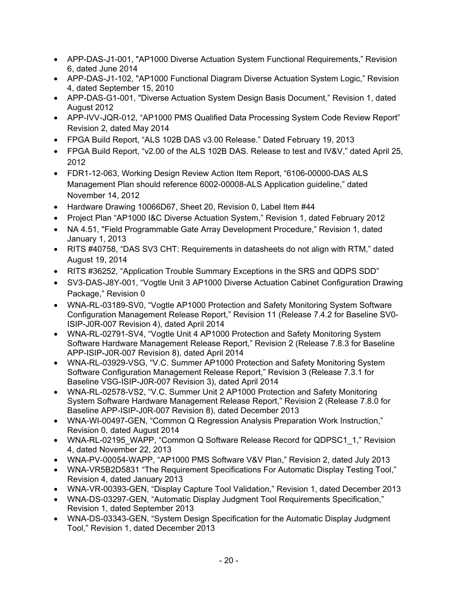- APP-DAS-J1-001, "AP1000 Diverse Actuation System Functional Requirements," Revision 6, dated June 2014
- APP-DAS-J1-102, "AP1000 Functional Diagram Diverse Actuation System Logic," Revision 4, dated September 15, 2010
- APP-DAS-G1-001, "Diverse Actuation System Design Basis Document," Revision 1, dated August 2012
- APP-IVV-JQR-012, "AP1000 PMS Qualified Data Processing System Code Review Report" Revision 2, dated May 2014
- FPGA Build Report, "ALS 102B DAS v3.00 Release." Dated February 19, 2013
- FPGA Build Report, "v2.00 of the ALS 102B DAS. Release to test and IV&V," dated April 25, 2012
- FDR1-12-063, Working Design Review Action Item Report, "6106-00000-DAS ALS Management Plan should reference 6002-00008-ALS Application guideline," dated November 14, 2012
- Hardware Drawing 10066D67, Sheet 20, Revision 0, Label Item #44
- Project Plan "AP1000 I&C Diverse Actuation System," Revision 1, dated February 2012
- NA 4.51, "Field Programmable Gate Array Development Procedure," Revision 1, dated January 1, 2013
- RITS #40758, "DAS SV3 CHT: Requirements in datasheets do not align with RTM," dated August 19, 2014
- RITS #36252, "Application Trouble Summary Exceptions in the SRS and QDPS SDD"
- SV3-DAS-J8Y-001, "Vogtle Unit 3 AP1000 Diverse Actuation Cabinet Configuration Drawing Package," Revision 0
- WNA-RL-03189-SV0, "Vogtle AP1000 Protection and Safety Monitoring System Software Configuration Management Release Report," Revision 11 (Release 7.4.2 for Baseline SV0- ISIP-J0R-007 Revision 4), dated April 2014
- WNA-RL-02791-SV4, "Vogtle Unit 4 AP1000 Protection and Safety Monitoring System Software Hardware Management Release Report," Revision 2 (Release 7.8.3 for Baseline APP-ISIP-J0R-007 Revision 8), dated April 2014
- WNA-RL-03929-VSG, "V.C. Summer AP1000 Protection and Safety Monitoring System Software Configuration Management Release Report," Revision 3 (Release 7.3.1 for Baseline VSG-ISIP-J0R-007 Revision 3), dated April 2014
- WNA-RL-02578-VS2, "V.C. Summer Unit 2 AP1000 Protection and Safety Monitoring System Software Hardware Management Release Report," Revision 2 (Release 7.8.0 for Baseline APP-ISIP-J0R-007 Revision 8), dated December 2013
- WNA-WI-00497-GEN, "Common Q Regression Analysis Preparation Work Instruction," Revision 0, dated August 2014
- WNA-RL-02195 WAPP, "Common Q Software Release Record for QDPSC1\_1," Revision 4, dated November 22, 2013
- WNA-PV-00054-WAPP, "AP1000 PMS Software V&V Plan," Revision 2, dated July 2013
- WNA-VR5B2D5831 "The Requirement Specifications For Automatic Display Testing Tool," Revision 4, dated January 2013
- WNA-VR-00393-GEN, "Display Capture Tool Validation," Revision 1, dated December 2013
- WNA-DS-03297-GEN, "Automatic Display Judgment Tool Requirements Specification," Revision 1, dated September 2013
- WNA-DS-03343-GEN, "System Design Specification for the Automatic Display Judgment Tool," Revision 1, dated December 2013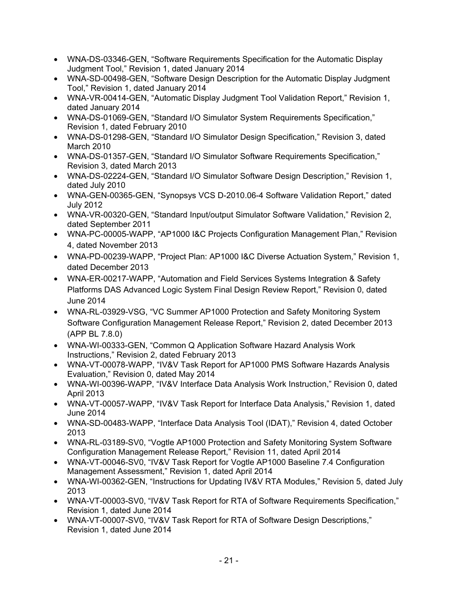- WNA-DS-03346-GEN, "Software Requirements Specification for the Automatic Display Judgment Tool," Revision 1, dated January 2014
- WNA-SD-00498-GEN, "Software Design Description for the Automatic Display Judgment Tool," Revision 1, dated January 2014
- WNA-VR-00414-GEN, "Automatic Display Judgment Tool Validation Report," Revision 1, dated January 2014
- WNA-DS-01069-GEN, "Standard I/O Simulator System Requirements Specification," Revision 1, dated February 2010
- WNA-DS-01298-GEN, "Standard I/O Simulator Design Specification," Revision 3, dated March 2010
- WNA-DS-01357-GEN, "Standard I/O Simulator Software Requirements Specification," Revision 3, dated March 2013
- WNA-DS-02224-GEN, "Standard I/O Simulator Software Design Description," Revision 1, dated July 2010
- WNA-GEN-00365-GEN, "Synopsys VCS D-2010.06-4 Software Validation Report," dated July 2012
- WNA-VR-00320-GEN, "Standard Input/output Simulator Software Validation," Revision 2, dated September 2011
- WNA-PC-00005-WAPP, "AP1000 I&C Projects Configuration Management Plan," Revision 4, dated November 2013
- WNA-PD-00239-WAPP, "Project Plan: AP1000 I&C Diverse Actuation System," Revision 1, dated December 2013
- WNA-ER-00217-WAPP, "Automation and Field Services Systems Integration & Safety Platforms DAS Advanced Logic System Final Design Review Report," Revision 0, dated June 2014
- WNA-RL-03929-VSG, "VC Summer AP1000 Protection and Safety Monitoring System Software Configuration Management Release Report," Revision 2, dated December 2013 (APP BL 7.8.0)
- WNA-WI-00333-GEN, "Common Q Application Software Hazard Analysis Work Instructions," Revision 2, dated February 2013
- WNA-VT-00078-WAPP, "IV&V Task Report for AP1000 PMS Software Hazards Analysis Evaluation," Revision 0, dated May 2014
- WNA-WI-00396-WAPP, "IV&V Interface Data Analysis Work Instruction," Revision 0, dated April 2013
- WNA-VT-00057-WAPP, "IV&V Task Report for Interface Data Analysis," Revision 1, dated June 2014
- WNA-SD-00483-WAPP, "Interface Data Analysis Tool (IDAT)," Revision 4, dated October 2013
- WNA-RL-03189-SV0, "Vogtle AP1000 Protection and Safety Monitoring System Software Configuration Management Release Report," Revision 11, dated April 2014
- WNA-VT-00046-SV0, "IV&V Task Report for Vogtle AP1000 Baseline 7.4 Configuration Management Assessment," Revision 1, dated April 2014
- WNA-WI-00362-GEN, "Instructions for Updating IV&V RTA Modules," Revision 5, dated July 2013
- WNA-VT-00003-SV0, "IV&V Task Report for RTA of Software Requirements Specification," Revision 1, dated June 2014
- WNA-VT-00007-SV0, "IV&V Task Report for RTA of Software Design Descriptions," Revision 1, dated June 2014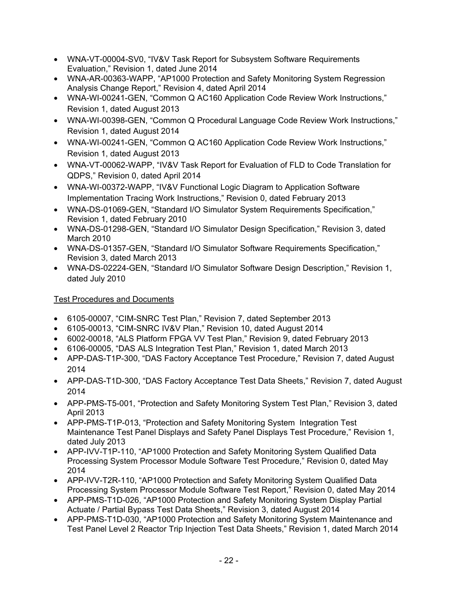- WNA-VT-00004-SV0, "IV&V Task Report for Subsystem Software Requirements Evaluation," Revision 1, dated June 2014
- WNA-AR-00363-WAPP, "AP1000 Protection and Safety Monitoring System Regression Analysis Change Report," Revision 4, dated April 2014
- WNA-WI-00241-GEN, "Common Q AC160 Application Code Review Work Instructions," Revision 1, dated August 2013
- WNA-WI-00398-GEN, "Common Q Procedural Language Code Review Work Instructions," Revision 1, dated August 2014
- WNA-WI-00241-GEN, "Common Q AC160 Application Code Review Work Instructions," Revision 1, dated August 2013
- WNA-VT-00062-WAPP, "IV&V Task Report for Evaluation of FLD to Code Translation for QDPS," Revision 0, dated April 2014
- WNA-WI-00372-WAPP, "IV&V Functional Logic Diagram to Application Software Implementation Tracing Work Instructions," Revision 0, dated February 2013
- WNA-DS-01069-GEN, "Standard I/O Simulator System Requirements Specification," Revision 1, dated February 2010
- WNA-DS-01298-GEN, "Standard I/O Simulator Design Specification," Revision 3, dated March 2010
- WNA-DS-01357-GEN, "Standard I/O Simulator Software Requirements Specification," Revision 3, dated March 2013
- WNA-DS-02224-GEN, "Standard I/O Simulator Software Design Description," Revision 1, dated July 2010

# Test Procedures and Documents

- 6105-00007, "CIM-SNRC Test Plan," Revision 7, dated September 2013
- 6105-00013, "CIM-SNRC IV&V Plan," Revision 10, dated August 2014
- 6002-00018, "ALS Platform FPGA VV Test Plan," Revision 9, dated February 2013
- 6106-00005, "DAS ALS Integration Test Plan," Revision 1, dated March 2013
- APP-DAS-T1P-300, "DAS Factory Acceptance Test Procedure," Revision 7, dated August 2014
- APP-DAS-T1D-300, "DAS Factory Acceptance Test Data Sheets," Revision 7, dated August 2014
- APP-PMS-T5-001, "Protection and Safety Monitoring System Test Plan," Revision 3, dated April 2013
- APP-PMS-T1P-013, "Protection and Safety Monitoring System Integration Test Maintenance Test Panel Displays and Safety Panel Displays Test Procedure," Revision 1, dated July 2013
- APP-IVV-T1P-110, "AP1000 Protection and Safety Monitoring System Qualified Data Processing System Processor Module Software Test Procedure," Revision 0, dated May 2014
- APP-IVV-T2R-110, "AP1000 Protection and Safety Monitoring System Qualified Data Processing System Processor Module Software Test Report," Revision 0, dated May 2014
- APP-PMS-T1D-026, "AP1000 Protection and Safety Monitoring System Display Partial Actuate / Partial Bypass Test Data Sheets," Revision 3, dated August 2014
- APP-PMS-T1D-030, "AP1000 Protection and Safety Monitoring System Maintenance and Test Panel Level 2 Reactor Trip Injection Test Data Sheets," Revision 1, dated March 2014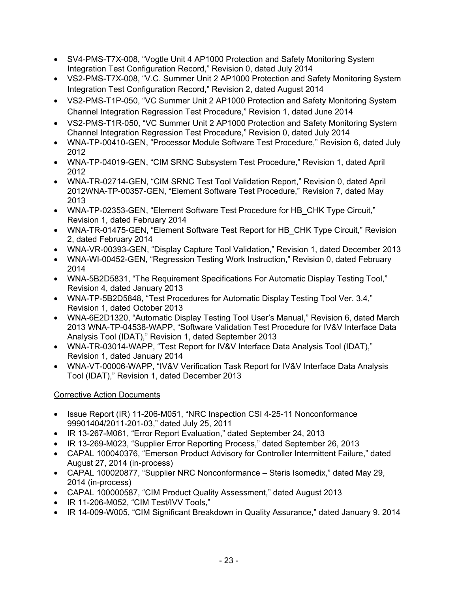- SV4-PMS-T7X-008, "Vogtle Unit 4 AP1000 Protection and Safety Monitoring System Integration Test Configuration Record," Revision 0, dated July 2014
- VS2-PMS-T7X-008, "V.C. Summer Unit 2 AP1000 Protection and Safety Monitoring System Integration Test Configuration Record," Revision 2, dated August 2014
- VS2-PMS-T1P-050, "VC Summer Unit 2 AP1000 Protection and Safety Monitoring System Channel Integration Regression Test Procedure," Revision 1, dated June 2014
- VS2-PMS-T1R-050, "VC Summer Unit 2 AP1000 Protection and Safety Monitoring System Channel Integration Regression Test Procedure," Revision 0, dated July 2014
- WNA-TP-00410-GEN, "Processor Module Software Test Procedure," Revision 6, dated July 2012
- WNA-TP-04019-GEN, "CIM SRNC Subsystem Test Procedure," Revision 1, dated April 2012
- WNA-TR-02714-GEN, "CIM SRNC Test Tool Validation Report," Revision 0, dated April 2012WNA-TP-00357-GEN, "Element Software Test Procedure," Revision 7, dated May 2013
- WNA-TP-02353-GEN, "Element Software Test Procedure for HB\_CHK Type Circuit," Revision 1, dated February 2014
- WNA-TR-01475-GEN, "Element Software Test Report for HB CHK Type Circuit," Revision 2, dated February 2014
- WNA-VR-00393-GEN, "Display Capture Tool Validation," Revision 1, dated December 2013
- WNA-WI-00452-GEN, "Regression Testing Work Instruction," Revision 0, dated February 2014
- WNA-5B2D5831, "The Requirement Specifications For Automatic Display Testing Tool," Revision 4, dated January 2013
- WNA-TP-5B2D5848, "Test Procedures for Automatic Display Testing Tool Ver. 3.4," Revision 1, dated October 2013
- WNA-6E2D1320, "Automatic Display Testing Tool User's Manual," Revision 6, dated March 2013 WNA-TP-04538-WAPP, "Software Validation Test Procedure for IV&V Interface Data Analysis Tool (IDAT)," Revision 1, dated September 2013
- WNA-TR-03014-WAPP, "Test Report for IV&V Interface Data Analysis Tool (IDAT)," Revision 1, dated January 2014
- WNA-VT-00006-WAPP, "IV&V Verification Task Report for IV&V Interface Data Analysis Tool (IDAT)," Revision 1, dated December 2013

# Corrective Action Documents

- Issue Report (IR) 11-206-M051, "NRC Inspection CSI 4-25-11 Nonconformance 99901404/2011-201-03," dated July 25, 2011
- IR 13-267-M061, "Error Report Evaluation," dated September 24, 2013
- IR 13-269-M023, "Supplier Error Reporting Process," dated September 26, 2013
- CAPAL 100040376, "Emerson Product Advisory for Controller Intermittent Failure," dated August 27, 2014 (in-process)
- CAPAL 100020877, "Supplier NRC Nonconformance Steris Isomedix," dated May 29, 2014 (in-process)
- CAPAL 100000587, "CIM Product Quality Assessment," dated August 2013
- IR 11-206-M052, "CIM Test/IVV Tools,"
- IR 14-009-W005, "CIM Significant Breakdown in Quality Assurance," dated January 9. 2014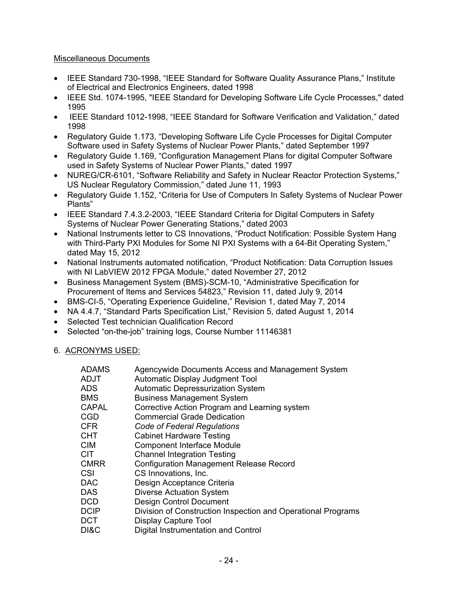## Miscellaneous Documents

- IEEE Standard 730-1998, "IEEE Standard for Software Quality Assurance Plans," Institute of Electrical and Electronics Engineers, dated 1998
- IEEE Std. 1074-1995, "IEEE Standard for Developing Software Life Cycle Processes," dated 1995
- IEEE Standard 1012-1998, "IEEE Standard for Software Verification and Validation," dated 1998
- Regulatory Guide 1.173, "Developing Software Life Cycle Processes for Digital Computer Software used in Safety Systems of Nuclear Power Plants," dated September 1997
- Regulatory Guide 1.169, "Configuration Management Plans for digital Computer Software used in Safety Systems of Nuclear Power Plants," dated 1997
- NUREG/CR-6101, "Software Reliability and Safety in Nuclear Reactor Protection Systems," US Nuclear Regulatory Commission," dated June 11, 1993
- Regulatory Guide 1.152, "Criteria for Use of Computers In Safety Systems of Nuclear Power Plants"
- IEEE Standard 7.4.3.2-2003, "IEEE Standard Criteria for Digital Computers in Safety Systems of Nuclear Power Generating Stations," dated 2003
- National Instruments letter to CS Innovations, "Product Notification: Possible System Hang with Third-Party PXI Modules for Some NI PXI Systems with a 64-Bit Operating System," dated May 15, 2012
- National Instruments automated notification, "Product Notification: Data Corruption Issues with NI LabVIEW 2012 FPGA Module," dated November 27, 2012
- Business Management System (BMS)-SCM-10, "Administrative Specification for Procurement of Items and Services 54823," Revision 11, dated July 9, 2014
- BMS-CI-5, "Operating Experience Guideline," Revision 1, dated May 7, 2014
- NA 4.4.7, "Standard Parts Specification List," Revision 5, dated August 1, 2014
- Selected Test technician Qualification Record
- Selected "on-the-job" training logs, Course Number 11146381
- 6. ACRONYMS USED:

| ADAMS        | Agencywide Documents Access and Management System            |
|--------------|--------------------------------------------------------------|
| ADJT         | Automatic Display Judgment Tool                              |
| ADS          | <b>Automatic Depressurization System</b>                     |
| BMS          | <b>Business Management System</b>                            |
| <b>CAPAL</b> | Corrective Action Program and Learning system                |
| CGD          | <b>Commercial Grade Dedication</b>                           |
| CFR          | Code of Federal Regulations                                  |
| CHT          | <b>Cabinet Hardware Testing</b>                              |
| CIM          | <b>Component Interface Module</b>                            |
| CIT          | <b>Channel Integration Testing</b>                           |
| <b>CMRR</b>  | <b>Configuration Management Release Record</b>               |
| CSI          | CS Innovations, Inc.                                         |
| <b>DAC</b>   | Design Acceptance Criteria                                   |
| <b>DAS</b>   | <b>Diverse Actuation System</b>                              |
| DCD          | Design Control Document                                      |
| <b>DCIP</b>  | Division of Construction Inspection and Operational Programs |
| DCT          | Display Capture Tool                                         |
| DI&C         | Digital Instrumentation and Control                          |